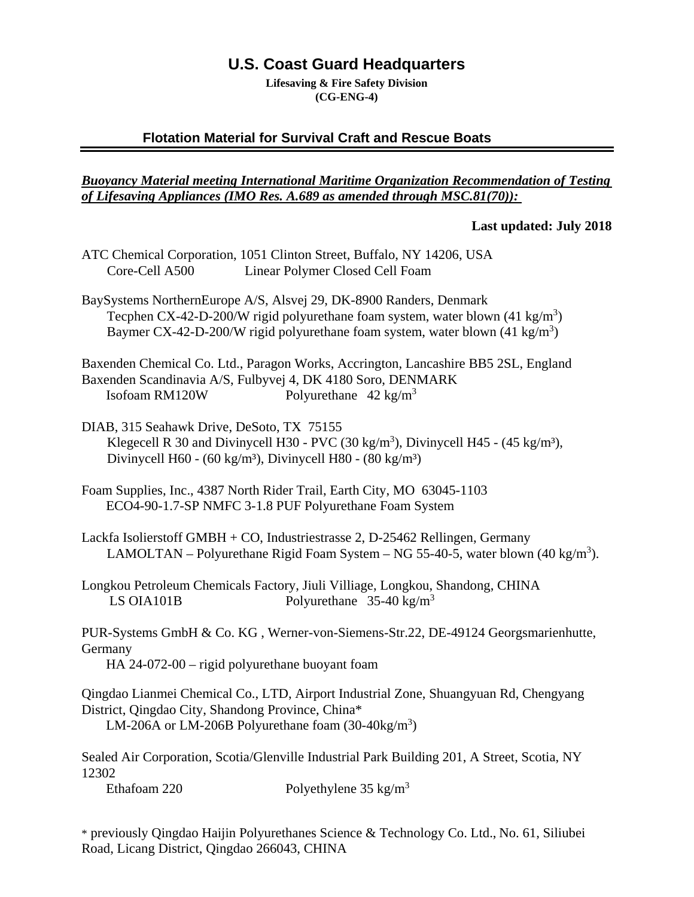# **U.S. Coast Guard Headquarters**

**Lifesaving & Fire Safety Division (CG-ENG-4)**

## **Flotation Material for Survival Craft and Rescue Boats**

### *Buoyancy Material meeting International Maritime Organization Recommendation of Testing of Lifesaving Appliances (IMO Res. A.689 as amended through MSC.81(70)):*

#### **Last updated: July 2018**

- ATC Chemical Corporation, 1051 Clinton Street, Buffalo, NY 14206, USA Core-Cell A500 Linear Polymer Closed Cell Foam
- BaySystems NorthernEurope A/S, Alsvej 29, DK-8900 Randers, Denmark Tecphen CX-42-D-200/W rigid polyurethane foam system, water blown  $(41 \text{ kg/m}^3)$ Baymer CX-42-D-200/W rigid polyurethane foam system, water blown  $(41 \text{ kg/m}^3)$

Baxenden Chemical Co. Ltd., Paragon Works, Accrington, Lancashire BB5 2SL, England Baxenden Scandinavia A/S, Fulbyvej 4, DK 4180 Soro, DENMARK Isofoam RM120W Polyurethane  $42 \text{ kg/m}^3$ 

- DIAB, 315 Seahawk Drive, DeSoto, TX 75155 Klegecell R 30 and Divinycell H30 - PVC (30 kg/m<sup>3</sup>), Divinycell H45 - (45 kg/m<sup>3</sup>), Divinycell H60 - (60 kg/m<sup>3</sup>), Divinycell H80 - (80 kg/m<sup>3</sup>)
- Foam Supplies, Inc., 4387 North Rider Trail, Earth City, MO 63045-1103 ECO4-90-1.7-SP NMFC 3-1.8 PUF Polyurethane Foam System

Lackfa Isolierstoff GMBH + CO, Industriestrasse 2, D-25462 Rellingen, Germany LAMOLTAN – Polyurethane Rigid Foam System – NG 55-40-5, water blown (40 kg/m<sup>3</sup>).

Longkou Petroleum Chemicals Factory, Jiuli Villiage, Longkou, Shandong, CHINA LS OIA101B Polyurethane  $35-40 \text{ kg/m}^3$ 

PUR-Systems GmbH & Co. KG , Werner-von-Siemens-Str.22, DE-49124 Georgsmarienhutte, Germany

HA 24-072-00 – rigid polyurethane buoyant foam

Qingdao Lianmei Chemical Co., LTD, Airport Industrial Zone, Shuangyuan Rd, Chengyang District, Qingdao City, Shandong Province, China\* LM-206A or LM-206B Polyurethane foam  $(30-40\text{kg/m}^3)$ 

Sealed Air Corporation, Scotia/Glenville Industrial Park Building 201, A Street, Scotia, NY 12302

Ethafoam 220 Polyethylene 35 kg/m<sup>3</sup>

\* previously Qingdao Haijin Polyurethanes Science & Technology Co. Ltd., No. 61, Siliubei Road, Licang District, Qingdao 266043, CHINA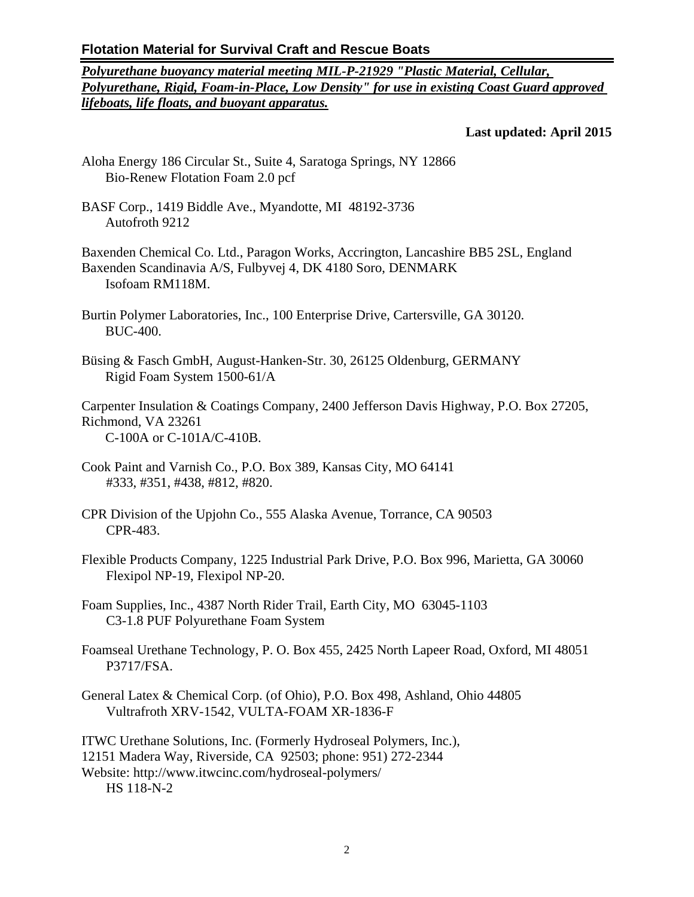*Polyurethane buoyancy material meeting MIL-P-21929 "Plastic Material, Cellular, Polyurethane, Rigid, Foam-in-Place, Low Density" for use in existing Coast Guard approved lifeboats, life floats, and buoyant apparatus.*

**Last updated: April 2015**

- Aloha Energy 186 Circular St., Suite 4, Saratoga Springs, NY 12866 Bio-Renew Flotation Foam 2.0 pcf
- BASF Corp., 1419 Biddle Ave., Myandotte, MI 48192-3736 Autofroth 9212

Baxenden Chemical Co. Ltd., Paragon Works, Accrington, Lancashire BB5 2SL, England Baxenden Scandinavia A/S, Fulbyvej 4, DK 4180 Soro, DENMARK Isofoam RM118M.

- Burtin Polymer Laboratories, Inc., 100 Enterprise Drive, Cartersville, GA 30120. BUC-400.
- Büsing & Fasch GmbH, August-Hanken-Str. 30, 26125 Oldenburg, GERMANY Rigid Foam System 1500-61/A

Carpenter Insulation & Coatings Company, 2400 Jefferson Davis Highway, P.O. Box 27205, Richmond, VA 23261 C-100A or C-101A/C-410B.

- Cook Paint and Varnish Co., P.O. Box 389, Kansas City, MO 64141 #333, #351, #438, #812, #820.
- CPR Division of the Upjohn Co., 555 Alaska Avenue, Torrance, CA 90503 CPR-483.
- Flexible Products Company, 1225 Industrial Park Drive, P.O. Box 996, Marietta, GA 30060 Flexipol NP-19, Flexipol NP-20.
- Foam Supplies, Inc., 4387 North Rider Trail, Earth City, MO 63045-1103 C3-1.8 PUF Polyurethane Foam System
- Foamseal Urethane Technology, P. O. Box 455, 2425 North Lapeer Road, Oxford, MI 48051 P3717/FSA.
- General Latex & Chemical Corp. (of Ohio), P.O. Box 498, Ashland, Ohio 44805 Vultrafroth XRV-1542, VULTA-FOAM XR-1836-F

ITWC Urethane Solutions, Inc. (Formerly Hydroseal Polymers, Inc.),

12151 Madera Way, Riverside, CA 92503; phone: 951) 272-2344

Website: http://www.itwcinc.com/hydroseal-polymers/ HS 118-N-2